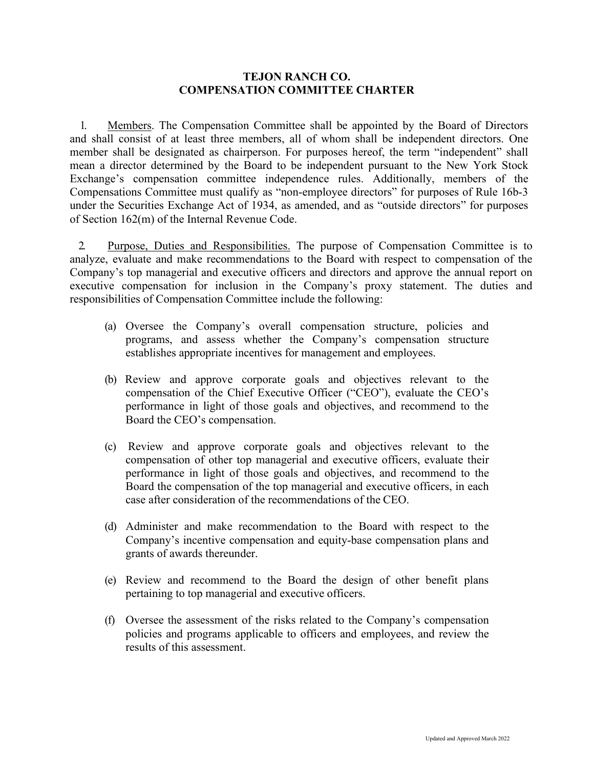## **TEJON RANCH CO. COMPENSATION COMMITTEE CHARTER**

1. Members. The Compensation Committee shall be appointed by the Board of Directors and shall consist of at least three members, all of whom shall be independent directors. One member shall be designated as chairperson. For purposes hereof, the term "independent" shall mean a director determined by the Board to be independent pursuant to the New York Stock Exchange's compensation committee independence rules. Additionally, members of the Compensations Committee must qualify as "non-employee directors" for purposes of Rule 16b-3 under the Securities Exchange Act of 1934, as amended, and as "outside directors" for purposes of Section 162(m) of the Internal Revenue Code.

2. Purpose, Duties and Responsibilities. The purpose of Compensation Committee is to analyze, evaluate and make recommendations to the Board with respect to compensation of the Company's top managerial and executive officers and directors and approve the annual report on executive compensation for inclusion in the Company's proxy statement. The duties and responsibilities of Compensation Committee include the following:

- (a) Oversee the Company's overall compensation structure, policies and programs, and assess whether the Company's compensation structure establishes appropriate incentives for management and employees.
- (b) Review and approve corporate goals and objectives relevant to the compensation of the Chief Executive Officer ("CEO"), evaluate the CEO's performance in light of those goals and objectives, and recommend to the Board the CEO's compensation.
- (c) Review and approve corporate goals and objectives relevant to the compensation of other top managerial and executive officers, evaluate their performance in light of those goals and objectives, and recommend to the Board the compensation of the top managerial and executive officers, in each case after consideration of the recommendations of the CEO.
- (d) Administer and make recommendation to the Board with respect to the Company's incentive compensation and equity-base compensation plans and grants of awards thereunder.
- (e) Review and recommend to the Board the design of other benefit plans pertaining to top managerial and executive officers.
- (f) Oversee the assessment of the risks related to the Company's compensation policies and programs applicable to officers and employees, and review the results of this assessment.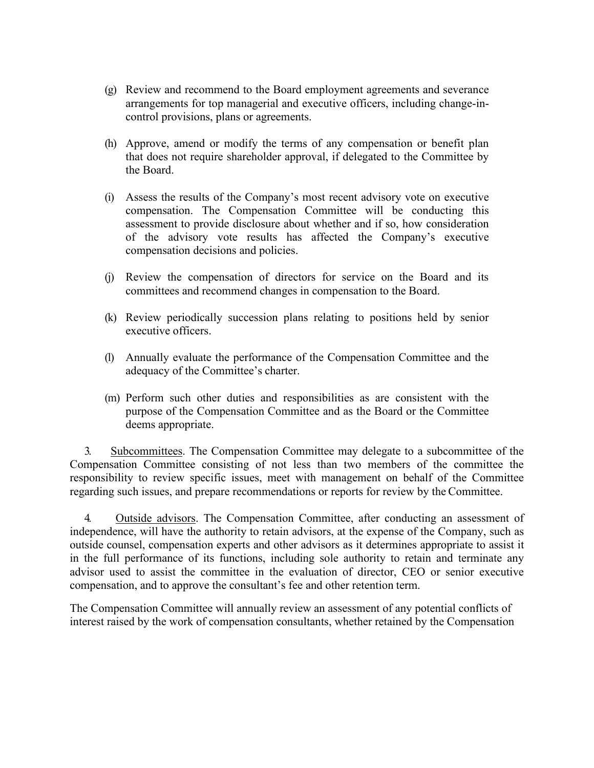- (g) Review and recommend to the Board employment agreements and severance arrangements for top managerial and executive officers, including change-incontrol provisions, plans or agreements.
- (h) Approve, amend or modify the terms of any compensation or benefit plan that does not require shareholder approval, if delegated to the Committee by the Board.
- (i) Assess the results of the Company's most recent advisory vote on executive compensation. The Compensation Committee will be conducting this assessment to provide disclosure about whether and if so, how consideration of the advisory vote results has affected the Company's executive compensation decisions and policies.
- (j) Review the compensation of directors for service on the Board and its committees and recommend changes in compensation to the Board.
- (k) Review periodically succession plans relating to positions held by senior executive officers.
- (l) Annually evaluate the performance of the Compensation Committee and the adequacy of the Committee's charter.
- (m) Perform such other duties and responsibilities as are consistent with the purpose of the Compensation Committee and as the Board or the Committee deems appropriate.

3. Subcommittees. The Compensation Committee may delegate to a subcommittee of the Compensation Committee consisting of not less than two members of the committee the responsibility to review specific issues, meet with management on behalf of the Committee regarding such issues, and prepare recommendations or reports for review by the Committee.

4. Outside advisors. The Compensation Committee, after conducting an assessment of independence, will have the authority to retain advisors, at the expense of the Company, such as outside counsel, compensation experts and other advisors as it determines appropriate to assist it in the full performance of its functions, including sole authority to retain and terminate any advisor used to assist the committee in the evaluation of director, CEO or senior executive compensation, and to approve the consultant's fee and other retention term.

The Compensation Committee will annually review an assessment of any potential conflicts of interest raised by the work of compensation consultants, whether retained by the Compensation